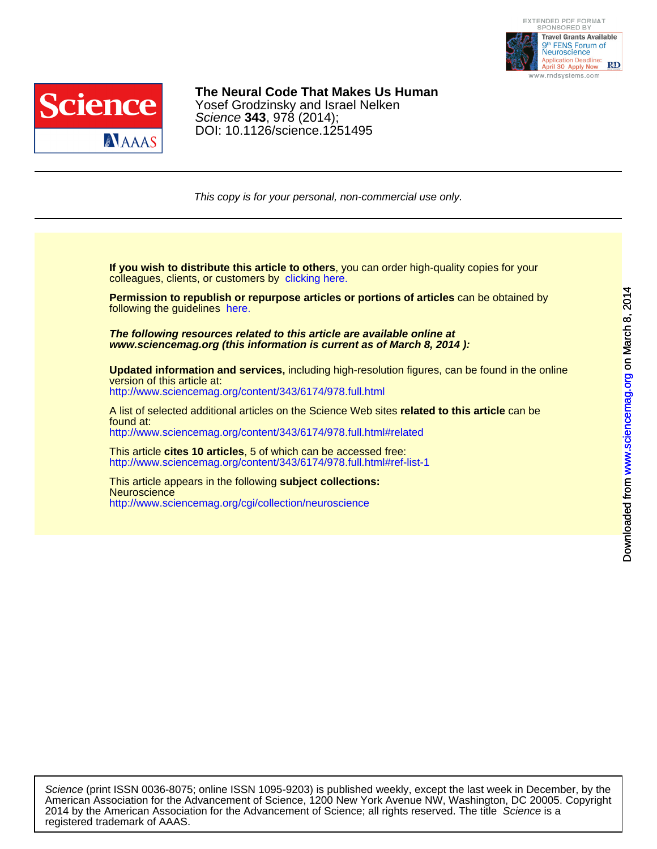



DO[I: 10.1126/science.1251495](http://www.sciencemag.org/cgi/collection/neuroscience) Science **343**, 978 (2014); Yosef Grodzinsky and Israel Nelken **The Neural Code That Makes Us Human**

This copy is for your personal, non-commercial use only.

colleagues, clients, or customers by [clicking here.](http://www.sciencemag.org/about/permissions.dtl) **If you wish to distribute this article to others**, you can order high-quality copies for your

following the guidelines [here.](http://www.sciencemag.org/about/permissions.dtl) **Permission to republish or repurpose articles or portions of articles** can be obtained by

**www.sciencemag.org (this information is current as of March 8, 2014 ): The following resources related to this article are available online at**

<http://www.sciencemag.org/content/343/6174/978.full.html> version of this article at: **Updated information and services,** including high-resolution figures, can be found in the online

found at: A list of selected additional articles on the Science Web sites **related to this article** can be

<http://www.sciencemag.org/content/343/6174/978.full.html#related>

<http://www.sciencemag.org/content/343/6174/978.full.html#ref-list-1> This article **cites 10 articles**, 5 of which can be accessed free:

<http://www.sciencemag.org/cgi/collection/neuroscience> **Neuroscience** This article appears in the following **subject collections:**

registered trademark of AAAS. 2014 by the American Association for the Advancement of Science; all rights reserved. The title Science is a American Association for the Advancement of Science, 1200 New York Avenue NW, Washington, DC 20005. Copyright Science (print ISSN 0036-8075; online ISSN 1095-9203) is published weekly, except the last week in December, by the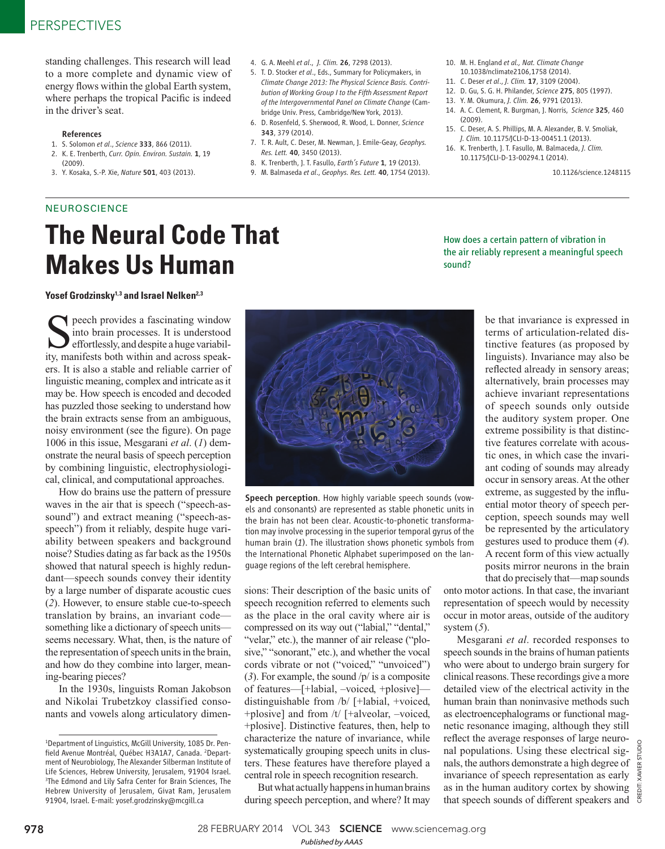standing challenges. This research will lead to a more complete and dynamic view of energy flows within the global Earth system, where perhaps the tropical Pacific is indeed in the driver's seat.

#### References

- 1. S. Solomon *et al*., *Science* 333, 866 (2011).
- 2. K. E. Trenberth, *Curr. Opin. Environ. Sustain.* 1, 19 (2009).
- 3. Y. Kosaka, S.-P. Xie, *Nature* 501, 403 (2013).
- 4. G. A. Meehl *et al*., *J. Clim.* 26, 7298 (2013).
- 5. T. D. Stocker *et al*., Eds., Summary for Policymakers, in *Climate Change 2013: The Physical Science Basis. Contribution of Working Group I to the Fifth Assessment Report of the Intergovernmental Panel on Climate Change* (Cambridge Univ. Press, Cambridge/New York, 2013).
- 6. D. Rosenfeld, S. Sherwood, R. Wood, L. Donner, *Science* 343, 379 (2014).
- 7. T. R. Ault, C. Deser, M. Newman, J. Emile-Geay, *Geophys. Res. Lett.* 40, 3450 (2013).
- 8. K. Trenberth, J. T. Fasullo, *Earth's Future* 1, 19 (2013).
- 9. M. Balmaseda *et al*., *Geophys. Res. Lett.* 40, 1754 (2013).
- 10. M. H. England *et al., Nat. Climate Change* 10.1038/nclimate2106,1758 (2014).
- 11. C. Deser *et al*., *J. Clim.* 17, 3109 (2004).
- 12. D. Gu, S. G. H. Philander, *Science* 275, 805 (1997).
- 13. Y. M. Okumura, *J. Clim.* 26, 9791 (2013).
- 14. A. C. Clement, R. Burgman, J. Norris, *Science* 325, 460 (2009).
- 15. C. Deser, A. S. Phillips, M. A. Alexander, B. V. Smoliak, *J. Clim.* 10.1175/JCLI-D-13-00451.1 (2013).
- 16. K. Trenberth, J. T. Fasullo, M. Balmaceda, *J. Clim.* 10.1175/JCLI-D-13-00294.1 (2014).

How does a certain pattern of vibration in the air reliably represent a meaningful speech

sound?

10.1126/science.1248115

### **NEUROSCIENCE**

# **The Neural Code That Makes Us Human**



Speech perception. How highly variable speech sounds (vowels and consonants) are represented as stable phonetic units in the brain has not been clear. Acoustic-to-phonetic transformation may involve processing in the superior temporal gyrus of the human brain (1). The illustration shows phonetic symbols from the International Phonetic Alphabet superimposed on the language regions of the left cerebral hemisphere.

sions: Their description of the basic units of speech recognition referred to elements such as the place in the oral cavity where air is compressed on its way out ("labial," "dental," "velar," etc.), the manner of air release ("plosive," "sonorant," etc.), and whether the vocal cords vibrate or not ("voiced," "unvoiced") (3). For example, the sound  $/p/$  is a composite of features—[+labial, –voiced, +plosive] distinguishable from /b/ [+labial, +voiced, +plosive] and from /t/ [+alveolar, –voiced, +plosive]. Distinctive features, then, help to characterize the nature of invariance, while systematically grouping speech units in clusters. These features have therefore played a central role in speech recognition research.

But what actually happens in human brains during speech perception, and where? It may be that invariance is expressed in terms of articulation-related distinctive features (as proposed by linguists). Invariance may also be reflected already in sensory areas; alternatively, brain processes may achieve invariant representations of speech sounds only outside the auditory system proper. One extreme possibility is that distinctive features correlate with acoustic ones, in which case the invariant coding of sounds may already occur in sensory areas. At the other extreme, as suggested by the influential motor theory of speech perception, speech sounds may well be represented by the articulatory gestures used to produce them ( *4*). A recent form of this view actually posits mirror neurons in the brain that do precisely that—map sounds

onto motor actions. In that case, the invariant representation of speech would by necessity occur in motor areas, outside of the auditory system  $(5)$ .

Mesgarani *et al*. recorded responses to speech sounds in the brains of human patients who were about to undergo brain surgery for clinical reasons. These recordings give a more detailed view of the electrical activity in the human brain than noninvasive methods such as electroencephalograms or functional magnetic resonance imaging, although they still reflect the average responses of large neuronal populations. Using these electrical signals, the authors demonstrate a high degree of invariance of speech representation as early as in the human auditory cortex by showing that speech sounds of different speakers and

## the brain extracts sense from an ambiguous, noisy environment (see the figure). On page

1006 in this issue, Mesgarani *et al*. ( *1*) demonstrate the neural basis of speech perception by combining linguistic, electrophysiological, clinical, and computational approaches. How do brains use the pattern of pressure

Seech provides a fascinating window<br>
into brain processes. It is understood<br>
effortlessly, and despite a huge variabil-<br>
ity, manifests both within and across speakpeech provides a fascinating window into brain processes. It is understood effortlessly, and despite a huge variabil-

**Yosef Grodzinsky<sup>1,3</sup> and Israel Nelken<sup>2,3</sup>** 

ers. It is also a stable and reliable carrier of linguistic meaning, complex and intricate as it may be. How speech is encoded and decoded has puzzled those seeking to understand how

waves in the air that is speech ("speech-assound") and extract meaning ("speech-asspeech") from it reliably, despite huge variability between speakers and background noise? Studies dating as far back as the 1950s showed that natural speech is highly redundant—speech sounds convey their identity by a large number of disparate acoustic cues ( *2*). However, to ensure stable cue-to-speech translation by brains, an invariant code something like a dictionary of speech units seems necessary. What, then, is the nature of the representation of speech units in the brain, and how do they combine into larger, meaning-bearing pieces?

In the 1930s, linguists Roman Jakobson and Nikolai Trubetzkoy classified consonants and vowels along articulatory dimen-

<sup>1</sup>Department of Linguistics, McGill University, 1085 Dr. Penfield Avenue Montréal, Québec H3A1A7, Canada. <sup>2</sup>Department of Neurobiology, The Alexander Silberman Institute of Life Sciences, Hebrew University, Jerusalem, 91904 Israel. 3 The Edmond and Lily Safra Center for Brain Sciences, The Hebrew University of Jerusalem, Givat Ram, Jerusalem 91904, Israel. E-mail: yosef.grodzinsky@mcgill.ca